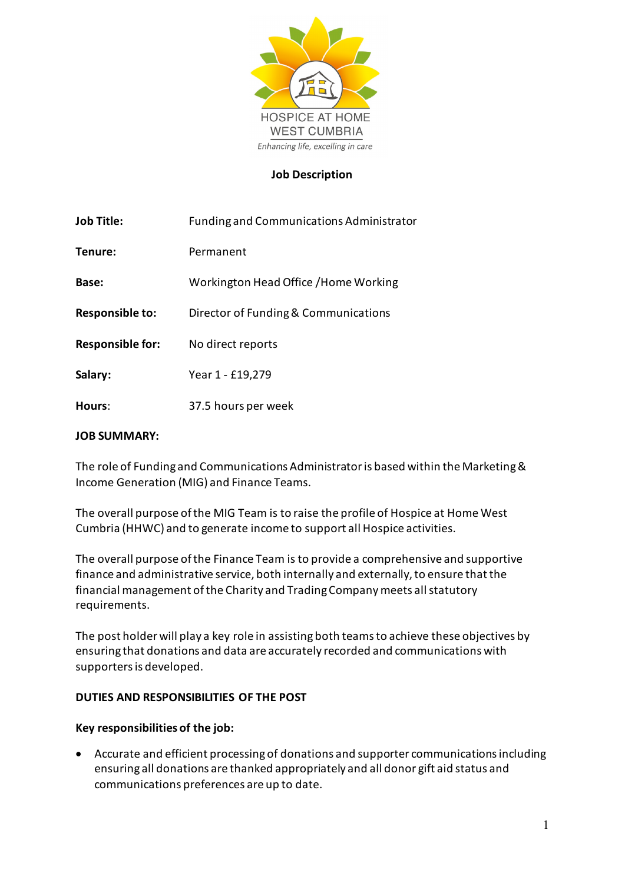

#### **Job Description**

| <b>Job Title:</b>       | <b>Funding and Communications Administrator</b> |  |  |
|-------------------------|-------------------------------------------------|--|--|
| Tenure:                 | Permanent                                       |  |  |
| Base:                   | Workington Head Office / Home Working           |  |  |
| <b>Responsible to:</b>  | Director of Funding & Communications            |  |  |
| <b>Responsible for:</b> | No direct reports                               |  |  |
| Salary:                 | Year 1 - £19,279                                |  |  |
| Hours:                  | 37.5 hours per week                             |  |  |

#### **JOB SUMMARY:**

The role of Funding and Communications Administratoris based within the Marketing & Income Generation (MIG) and Finance Teams.

The overall purpose of the MIG Team is to raise the profile of Hospice at Home West Cumbria (HHWC) and to generate income to support all Hospice activities.

The overall purpose of the Finance Team is to provide a comprehensive and supportive finance and administrative service, both internally and externally, to ensure that the financial management of the Charity and Trading Company meets all statutory requirements.

The post holder will play a key role in assisting both teams to achieve these objectives by ensuring that donations and data are accurately recorded and communications with supportersis developed.

## **DUTIES AND RESPONSIBILITIES OF THE POST**

## **Key responsibilities of the job:**

• Accurate and efficient processing of donations and supporter communications including ensuring all donations are thanked appropriately and all donor gift aid status and communications preferences are up to date.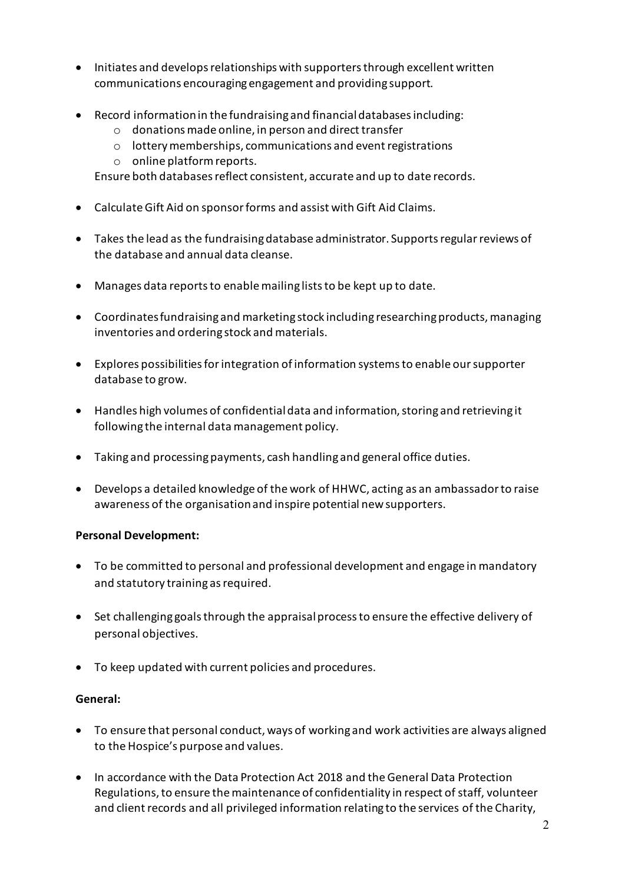- Initiates and developsrelationships with supporters through excellent written communications encouraging engagement and providing support.
- Record informationin the fundraising and financial databasesincluding:
	- o donations made online, in person and direct transfer
	- o lottery memberships, communications and event registrations
	- o online platform reports.

Ensure both databases reflect consistent, accurate and up to date records.

- Calculate Gift Aid on sponsor forms and assist with Gift Aid Claims.
- Takes the lead as the fundraisingdatabase administrator. Supports regular reviews of the database and annual data cleanse.
- Manages data reports to enable mailing lists to be kept up to date.
- Coordinatesfundraising and marketing stock including researching products, managing inventories and ordering stock and materials.
- Explores possibilities for integration of information systemsto enable our supporter database to grow.
- Handles high volumes of confidential data and information, storing and retrieving it following the internal data management policy.
- Taking and processing payments, cash handling and general office duties.
- Develops a detailed knowledge of the work of HHWC, acting as an ambassador to raise awareness of the organisationand inspire potential new supporters.

# **Personal Development:**

- To be committed to personal and professional development and engage in mandatory and statutory training as required.
- Set challenging goals through the appraisal process to ensure the effective delivery of personal objectives.
- To keep updated with current policies and procedures.

# **General:**

- To ensure that personal conduct, ways of working and work activities are always aligned to the Hospice's purpose and values.
- In accordance with the Data Protection Act 2018 and the General Data Protection Regulations, to ensure the maintenance of confidentiality in respect of staff, volunteer and client records and all privileged information relating to the services of the Charity,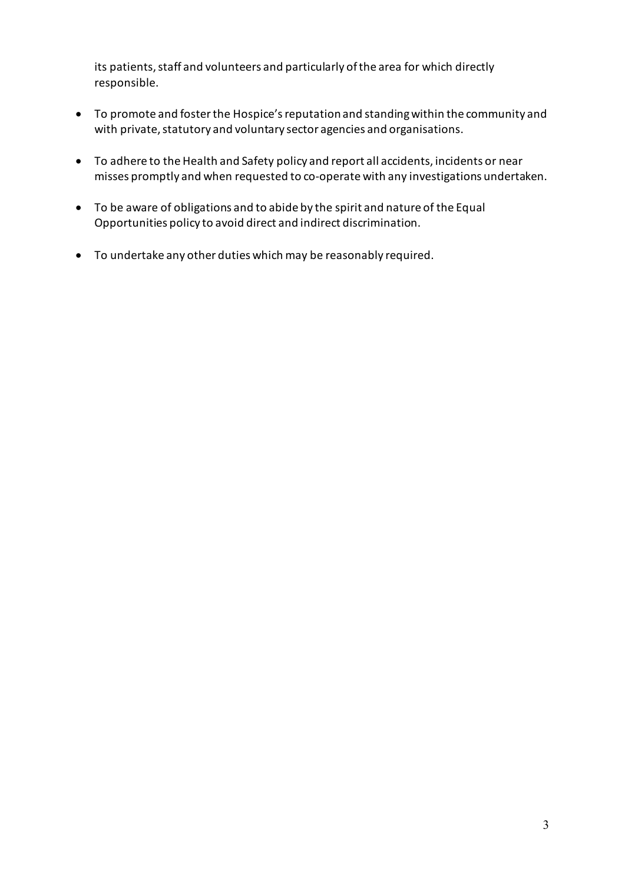its patients, staff and volunteers and particularly of the area for which directly responsible.

- To promote and foster the Hospice's reputation and standing within the community and with private, statutory and voluntary sector agencies and organisations.
- To adhere to the Health and Safety policy and report all accidents, incidents or near misses promptly and when requested to co-operate with any investigations undertaken.
- To be aware of obligations and to abide by the spirit and nature of the Equal Opportunities policy to avoid direct and indirect discrimination.
- To undertake any other duties which may be reasonably required.